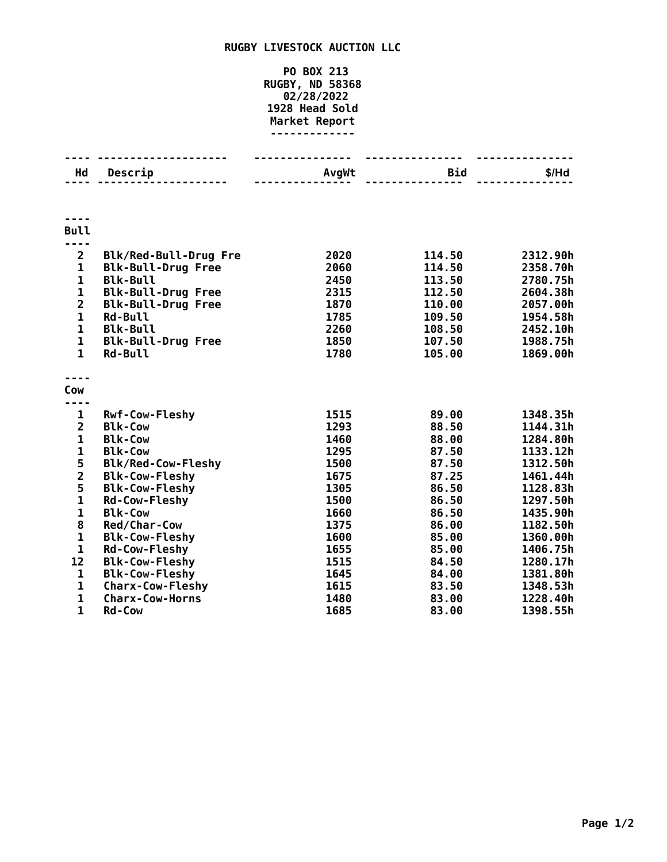## **RUGBY LIVESTOCK AUCTION LLC**

## **PO BOX 213 RUGBY, ND 58368 02/28/2022 Head Sold Market Report -------------**

| Hd                           | Descrip                                | AvgWt        | <b>Bid</b>     | \$/Hd                |
|------------------------------|----------------------------------------|--------------|----------------|----------------------|
|                              |                                        |              |                |                      |
| <b>Bull</b>                  |                                        |              |                |                      |
| ----                         |                                        |              |                |                      |
| $\overline{\mathbf{c}}$      | Blk/Red-Bull-Drug Fre                  | 2020         | 114.50         | 2312.90h             |
| $\mathbf 1$                  | <b>Blk-Bull-Drug Free</b>              | 2060         | 114.50         | 2358.70h             |
| $\mathbf{1}$                 | <b>Blk-Bull</b>                        | 2450         | 113.50         | 2780.75h             |
| $\mathbf 1$                  | <b>Blk-Bull-Drug Free</b>              | 2315         | 112.50         | 2604.38h             |
| $\overline{2}$               | <b>Blk-Bull-Drug Free</b>              | 1870         | 110.00         | 2057.00h             |
| $\mathbf 1$                  | <b>Rd-Bull</b>                         | 1785         | 109.50         | 1954.58h             |
| $\mathbf{1}$                 | <b>Blk-Bull</b>                        | 2260         | 108.50         | 2452.10h             |
| $\mathbf{1}$                 | <b>Blk-Bull-Drug Free</b>              | 1850         | 107.50         | 1988.75h             |
| $\mathbf{1}$                 | <b>Rd-Bull</b>                         | 1780         | 105.00         | 1869.00h             |
|                              |                                        |              |                |                      |
| Cow                          |                                        |              |                |                      |
|                              |                                        |              |                |                      |
| $\mathbf 1$                  | <b>Rwf-Cow-Fleshy</b>                  | 1515         | 89.00          | 1348.35h             |
| $\overline{2}$               | <b>Blk-Cow</b>                         | 1293         | 88.50          | 1144.31h             |
| $\mathbf 1$                  | <b>Blk-Cow</b>                         | 1460         | 88.00          | 1284.80h             |
| $\mathbf{1}$                 | <b>Blk-Cow</b>                         | 1295         | 87.50          | 1133.12h             |
| 5                            | <b>Blk/Red-Cow-Fleshy</b>              | 1500         | 87.50          | 1312.50h             |
| $\overline{\mathbf{2}}$      | <b>Blk-Cow-Fleshy</b>                  | 1675         | 87.25          | 1461.44h             |
| 5                            | <b>Blk-Cow-Fleshy</b>                  | 1305         | 86.50          | 1128.83h             |
| $\mathbf{1}$<br>$\mathbf{1}$ | <b>Rd-Cow-Fleshy</b>                   | 1500         | 86.50          | 1297.50h             |
| 8                            | <b>Blk-Cow</b>                         | 1660<br>1375 | 86.50          | 1435.90h             |
| $\mathbf{1}$                 | Red/Char-Cow                           | 1600         | 86.00<br>85.00 | 1182.50h<br>1360.00h |
| $\mathbf 1$                  | <b>Blk-Cow-Fleshy</b><br>Rd-Cow-Fleshy | 1655         | 85.00          | 1406.75h             |
| 12                           | <b>Blk-Cow-Fleshy</b>                  | 1515         | 84.50          | 1280.17h             |
| $\mathbf 1$                  | <b>Blk-Cow-Fleshy</b>                  | 1645         | 84.00          | 1381.80h             |
| $\mathbf{1}$                 | <b>Charx-Cow-Fleshy</b>                | 1615         | 83.50          | 1348.53h             |
| $\mathbf{1}$                 | <b>Charx-Cow-Horns</b>                 | 1480         | 83.00          | 1228.40h             |
| $\mathbf{1}$                 | <b>Rd-Cow</b>                          | 1685         | 83.00          | 1398.55h             |
|                              |                                        |              |                |                      |